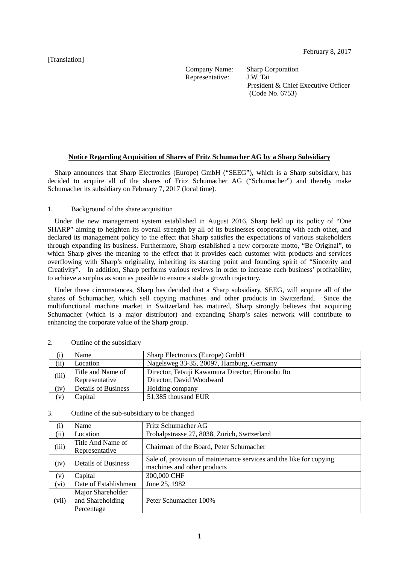[Translation]

Representative:

Company Name: Sharp Corporation<br>Representative: J.W. Tai President & Chief Executive Officer (Code No. 6753)

## **Notice Regarding Acquisition of Shares of Fritz Schumacher AG by a Sharp Subsidiary**

Sharp announces that Sharp Electronics (Europe) GmbH ("SEEG"), which is a Sharp subsidiary, has decided to acquire all of the shares of Fritz Schumacher AG ("Schumacher") and thereby make Schumacher its subsidiary on February 7, 2017 (local time).

### 1. Background of the share acquisition

Under the new management system established in August 2016, Sharp held up its policy of "One SHARP" aiming to heighten its overall strength by all of its businesses cooperating with each other, and declared its management policy to the effect that Sharp satisfies the expectations of various stakeholders through expanding its business. Furthermore, Sharp established a new corporate motto, "Be Original", to which Sharp gives the meaning to the effect that it provides each customer with products and services overflowing with Sharp's originality, inheriting its starting point and founding spirit of "Sincerity and Creativity". In addition, Sharp performs various reviews in order to increase each business' profitability, to achieve a surplus as soon as possible to ensure a stable growth trajectory.

Under these circumstances, Sharp has decided that a Sharp subsidiary, SEEG, will acquire all of the shares of Schumacher, which sell copying machines and other products in Switzerland. Since the multifunctional machine market in Switzerland has matured, Sharp strongly believes that acquiring Schumacher (which is a major distributor) and expanding Sharp's sales network will contribute to enhancing the corporate value of the Sharp group.

|       | Name                       | Sharp Electronics (Europe) GmbH                   |  |
|-------|----------------------------|---------------------------------------------------|--|
| (ii)  | Location                   | Nagelsweg 33-35, 20097, Hamburg, Germany          |  |
| (iii) | Title and Name of          | Director, Tetsuji Kawamura Director, Hironobu Ito |  |
|       | Representative             | Director, David Woodward                          |  |
| 'iv`  | <b>Details of Business</b> | Holding company                                   |  |
| [V]   | Capital                    | 51,385 thousand EUR                               |  |

#### 2. Outline of the subsidiary

#### 3. Outline of the sub-subsidiary to be changed

| $\rm(1)$ | Name                                                | Fritz Schumacher AG                                                                                |
|----------|-----------------------------------------------------|----------------------------------------------------------------------------------------------------|
| (ii)     | Location                                            | Frohalpstrasse 27, 8038, Zürich, Switzerland                                                       |
| (iii)    | Title And Name of<br>Representative                 | Chairman of the Board, Peter Schumacher                                                            |
| (iv)     | <b>Details of Business</b>                          | Sale of, provision of maintenance services and the like for copying<br>machines and other products |
| (v)      | Capital                                             | 300,000 CHF                                                                                        |
| (vi)     | Date of Establishment                               | June 25, 1982                                                                                      |
| (vii)    | Major Shareholder<br>and Shareholding<br>Percentage | Peter Schumacher 100%                                                                              |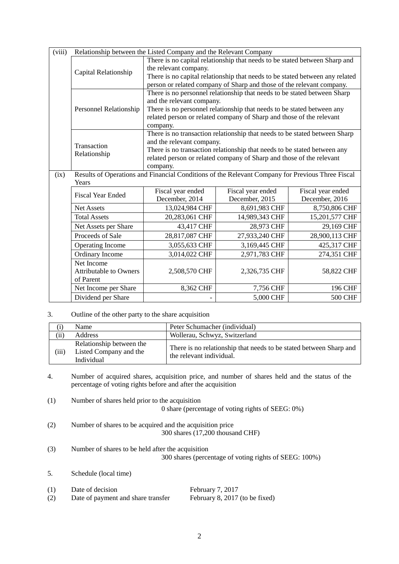| (viii) | Relationship between the Listed Company and the Relevant Company |                                                                                                       |                   |                   |  |
|--------|------------------------------------------------------------------|-------------------------------------------------------------------------------------------------------|-------------------|-------------------|--|
|        | Capital Relationship                                             | There is no capital relationship that needs to be stated between Sharp and                            |                   |                   |  |
|        |                                                                  | the relevant company.                                                                                 |                   |                   |  |
|        |                                                                  | There is no capital relationship that needs to be stated between any related                          |                   |                   |  |
|        |                                                                  | person or related company of Sharp and those of the relevant company.                                 |                   |                   |  |
|        | <b>Personnel Relationship</b>                                    | There is no personnel relationship that needs to be stated between Sharp                              |                   |                   |  |
|        |                                                                  | and the relevant company.                                                                             |                   |                   |  |
|        |                                                                  | There is no personnel relationship that needs to be stated between any                                |                   |                   |  |
|        |                                                                  | related person or related company of Sharp and those of the relevant                                  |                   |                   |  |
|        |                                                                  | company.                                                                                              |                   |                   |  |
|        |                                                                  | There is no transaction relationship that needs to be stated between Sharp                            |                   |                   |  |
|        | Transaction                                                      | and the relevant company.<br>There is no transaction relationship that needs to be stated between any |                   |                   |  |
|        | Relationship                                                     | related person or related company of Sharp and those of the relevant                                  |                   |                   |  |
|        |                                                                  | company.                                                                                              |                   |                   |  |
| (ix)   |                                                                  | Results of Operations and Financial Conditions of the Relevant Company for Previous Three Fiscal      |                   |                   |  |
|        | Years                                                            |                                                                                                       |                   |                   |  |
|        | <b>Fiscal Year Ended</b>                                         | Fiscal year ended                                                                                     | Fiscal year ended | Fiscal year ended |  |
|        |                                                                  | December, 2014                                                                                        | December, 2015    | December, 2016    |  |
|        | <b>Net Assets</b>                                                | 13,024,984 CHF                                                                                        | 8,691,983 CHF     | 8,750,806 CHF     |  |
|        | <b>Total Assets</b>                                              | 20,283,061 CHF                                                                                        | 14,989,343 CHF    | 15,201,577 CHF    |  |
|        | Net Assets per Share                                             | 43,417 CHF                                                                                            | 28,973 CHF        | 29,169 CHF        |  |
|        | Proceeds of Sale                                                 | 28,817,087 CHF                                                                                        | 27,933,240 CHF    | 28,900,113 CHF    |  |
|        | Operating Income                                                 | 3,055,633 CHF                                                                                         | 3,169,445 CHF     | 425,317 CHF       |  |
|        | Ordinary Income                                                  | 3,014,022 CHF                                                                                         | 2,971,783 CHF     | 274,351 CHF       |  |
|        | Net Income                                                       |                                                                                                       |                   |                   |  |
|        | <b>Attributable to Owners</b>                                    | 2,508,570 CHF                                                                                         | 2,326,735 CHF     | 58,822 CHF        |  |
|        | of Parent                                                        |                                                                                                       |                   |                   |  |
|        | Net Income per Share                                             | 8,362 CHF                                                                                             | 7,756 CHF         | 196 CHF           |  |
|        | Dividend per Share                                               |                                                                                                       | 5,000 CHF         | <b>500 CHF</b>    |  |

3. Outline of the other party to the share acquisition

|           | Name                                                             | Peter Schumacher (individual)                                                                  |
|-----------|------------------------------------------------------------------|------------------------------------------------------------------------------------------------|
| $\rm(ii)$ | Address                                                          | Wollerau, Schwyz, Switzerland                                                                  |
| (iii)     | Relationship between the<br>Listed Company and the<br>Individual | There is no relationship that needs to be stated between Sharp and<br>the relevant individual. |

- 4. Number of acquired shares, acquisition price, and number of shares held and the status of the percentage of voting rights before and after the acquisition
- (1) Number of shares held prior to the acquisition 0 share (percentage of voting rights of SEEG: 0%)
- (2) Number of shares to be acquired and the acquisition price 300 shares (17,200 thousand CHF)
- (3) Number of shares to be held after the acquisition 300 shares (percentage of voting rights of SEEG: 100%)
- 5. Schedule (local time)

| (1) | Date of decision                   | February 7, 2017               |
|-----|------------------------------------|--------------------------------|
| (2) | Date of payment and share transfer | February 8, 2017 (to be fixed) |